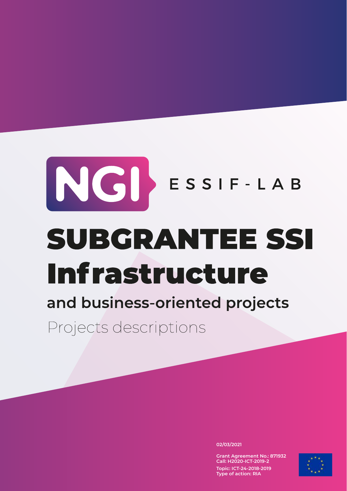# NGI ESSIF-LAB SUBGRANTEE SSI **Infrastructure** and business-oriented projects Projects descriptions

**02/03/2021**

**Grant Agreement No.: 871932 Call: H2020-ICT-2019-2 Topic: ICT-24-2018-2019 Type of action: RIA**

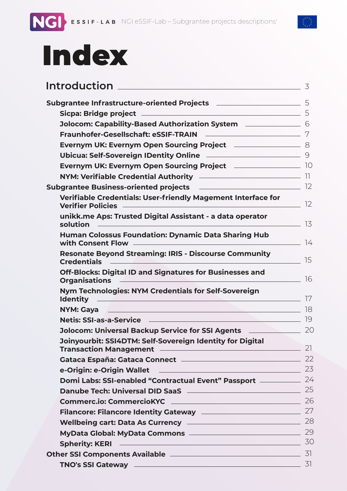

# Index

| <b>Introduction</b><br><u> André André Alban Alban A</u>                                                                                                                                                                                                                                                                   | 3  |
|----------------------------------------------------------------------------------------------------------------------------------------------------------------------------------------------------------------------------------------------------------------------------------------------------------------------------|----|
| Subgrantee Infrastructure-oriented Projects ______________________                                                                                                                                                                                                                                                         | 5  |
|                                                                                                                                                                                                                                                                                                                            |    |
| Jolocom: Capability-Based Authorization System _________________________________                                                                                                                                                                                                                                           |    |
|                                                                                                                                                                                                                                                                                                                            |    |
| Evernym UK: Evernym Open Sourcing Project _____________________ 8                                                                                                                                                                                                                                                          |    |
| Ubicua: Self-Sovereign IDentity Online (2008) 2014 19:40                                                                                                                                                                                                                                                                   |    |
| Evernym UK: Evernym Open Sourcing Project __________________ 10                                                                                                                                                                                                                                                            |    |
| NYM: Verifiable Credential Authority   2008 2010 11                                                                                                                                                                                                                                                                        |    |
|                                                                                                                                                                                                                                                                                                                            |    |
| Verifiable Credentials: User-friendly Magement Interface for<br><b>Verifier Policies</b>                                                                                                                                                                                                                                   | 12 |
| unikk.me Aps: Trusted Digital Assistant - a data operator<br>solution                                                                                                                                                                                                                                                      | 13 |
| <b>Human Colossus Foundation: Dynamic Data Sharing Hub</b><br>with Consent Flow<br><u> 1989 - An Ann An Aonaichte ann an Aonaich</u>                                                                                                                                                                                       | 74 |
| <b>Resonate Beyond Streaming: IRIS - Discourse Community</b><br><b>Credentials</b><br><u> 1989 - An Dùbhlachd ann an Dùbhlachd ann an Dùbhlachd ann an Dùbhlachd ann an Dùbhlachd ann an Dùbhlachd ann an Dùbhlachd ann an Dùbhlachd ann an Dùbhlachd ann an Dùbhlachd ann an Dùbhlachd ann an Dùbhlachd ann an Dùbhla</u> | 15 |
| Off-Blocks: Digital ID and Signatures for Businesses and<br><b>Organisations</b>                                                                                                                                                                                                                                           | 16 |
| Nym Technologies: NYM Credentials for Self-Sovereign<br><b>Identity</b>                                                                                                                                                                                                                                                    | 17 |
| <u> 1990 - Johann Marie Marie Maria (h. 1980).</u><br><b>NYM: Gaya</b>                                                                                                                                                                                                                                                     | 18 |
| <u> 1990 - Johann Marie Marie II, martin a</u><br><b>Netis: SSI-as-a-Service</b>                                                                                                                                                                                                                                           | 19 |
| Jolocom: Universal Backup Service for SSI Agents 20                                                                                                                                                                                                                                                                        |    |
| Joinyourbit: SSI4DTM: Self-Sovereign Identity for Digital<br>$\sim$ 21<br>Transaction Management —                                                                                                                                                                                                                         |    |
| <b>Gataca España: Gataca Connect</b> 22                                                                                                                                                                                                                                                                                    |    |
| e-Origin: e-Origin Wallet 23                                                                                                                                                                                                                                                                                               |    |
| Domi Labs: SSI-enabled "Contractual Event" Passport 24                                                                                                                                                                                                                                                                     |    |
|                                                                                                                                                                                                                                                                                                                            |    |
|                                                                                                                                                                                                                                                                                                                            |    |
|                                                                                                                                                                                                                                                                                                                            |    |
| Wellbeing cart: Data As Currency <u>and a manuscription of 28</u>                                                                                                                                                                                                                                                          |    |
|                                                                                                                                                                                                                                                                                                                            |    |
| <b>Spherity: KERI</b>                                                                                                                                                                                                                                                                                                      |    |
|                                                                                                                                                                                                                                                                                                                            |    |
|                                                                                                                                                                                                                                                                                                                            |    |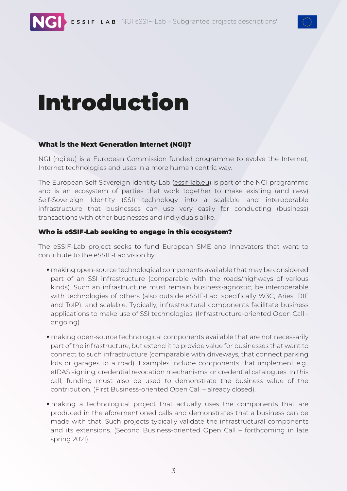

## Introduction

#### What is the Next Generation Internet (NGI)?

NGI (ngi.eu) is a European Commission funded programme to evolve the Internet, Internet technologies and uses in a more human centric way.

The European Self-Sovereign Identity Lab (essif-lab.eu) is part of the NGI programme and is an ecosystem of parties that work together to make existing (and new) Self-Sovereign Identity (SSI) technology into a scalable and interoperable infrastructure that businesses can use very easily for conducting (business) transactions with other businesses and individuals alike.

#### Who is eSSIF-Lab seeking to engage in this ecosystem?

The eSSIF-Lab project seeks to fund European SME and Innovators that want to contribute to the eSSIF-Lab vision by:

- *·* making open-source technological components available that may be considered part of an SSI infrastructure (comparable with the roads/highways of various kinds). Such an infrastructure must remain business-agnostic, be interoperable with technologies of others (also outside eSSIF-Lab, specifically W3C, Aries, DIF and ToIP), and scalable. Typically, infrastructural components facilitate business applications to make use of SSI technologies. (Infrastructure-oriented Open Call ongoing)
- *·* making open-source technological components available that are not necessarily part of the infrastructure, but extend it to provide value for businesses that want to connect to such infrastructure (comparable with driveways, that connect parking lots or garages to a road). Examples include components that implement e.g., eIDAS signing, credential revocation mechanisms, or credential catalogues. In this call, funding must also be used to demonstrate the business value of the contribution. (First Business-oriented Open Call – already closed).
- *·* making a technological project that actually uses the components that are produced in the aforementioned calls and demonstrates that a business can be made with that. Such projects typically validate the infrastructural components and its extensions. (Second Business-oriented Open Call – forthcoming in late spring 2021).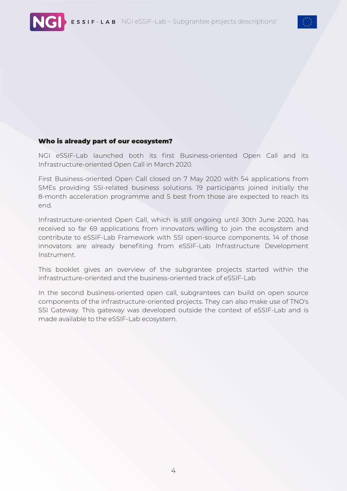#### Who is already part of our ecosystem?

NGI eSSIF-Lab launched both its first Business-oriented Open Call and its Infrastructure-oriented Open Call in March 2020.

First Business-oriented Open Call closed on 7 May 2020 with 54 applications from SMEs providing SSI-related business solutions. 19 participants joined initially the 8-month acceleration programme and 5 best from those are expected to reach its end.

Infrastructure-oriented Open Call, which is still ongoing until 30th June 2020, has received so far 69 applications from innovators willing to join the ecosystem and contribute to eSSIF-Lab Framework with SSI open-source components. 14 of those innovators are already benefiting from eSSIF-Lab Infrastructure Development Instrument.

This booklet gives an overview of the subgrantee projects started within the infrastructure-oriented and the business-oriented track of eSSIF-Lab.

In the second business-oriented open call, subgrantees can build on open source components of the infrastructure-oriented projects. They can also make use of TNO's SSI Gateway. This gateway was developed outside the context of eSSIF-Lab and is made available to the eSSIF-Lab ecosystem.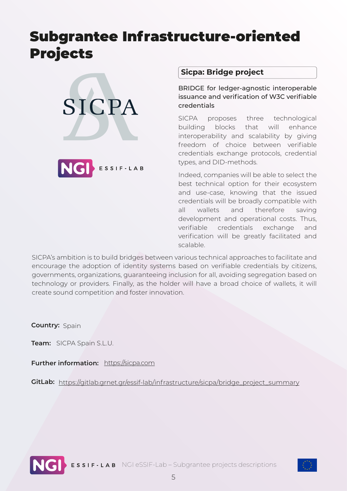### Subgrantee Infrastructure-oriented Projects





#### **Sicpa: Bridge project**

BRIDGE for ledger-agnostic interoperable issuance and verification of W3C verifiable credentials

SICPA proposes three technological building blocks that will enhance interoperability and scalability by giving freedom of choice between verifiable credentials exchange protocols, credential types, and DID-methods.

Indeed, companies will be able to select the best technical option for their ecosystem and use-case, knowing that the issued credentials will be broadly compatible with all wallets and therefore saving development and operational costs. Thus, verifiable credentials exchange and verification will be greatly facilitated and scalable.

SICPA's ambition is to build bridges between various technical approaches to facilitate and encourage the adoption of identity systems based on verifiable credentials by citizens, governments, organizations, guaranteeing inclusion for all, avoiding segregation based on technology or providers. Finally, as the holder will have a broad choice of wallets, it will create sound competition and foster innovation.

**Country:** Spain

**Team:** SICPA Spain S.L.U.

**Further information:** https://sicpa.com

**GitLab:** https://gitlab.grnet.gr/essif-lab/infrastructure/sicpa/bridge\_project\_summary

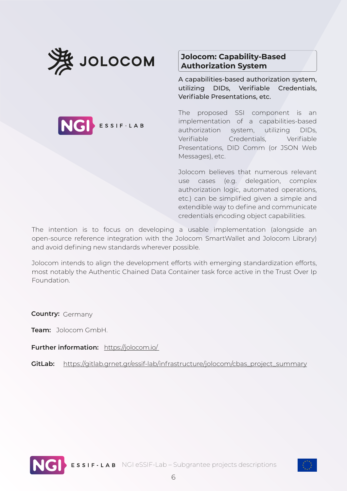

ESSIF-LAB

**NGI** 

#### **Jolocom: Capability-Based Authorization System**

A capabilities-based authorization system, utilizing DIDs, Verifiable Credentials, Verifiable Presentations, etc.

The proposed SSI component is an implementation of a capabilities-based authorization system, utilizing DIDs, Verifiable Credentials, Verifiable Presentations, DID Comm (or JSON Web Messages), etc.

Jolocom believes that numerous relevant use cases (e.g. delegation, complex authorization logic, automated operations, etc.) can be simplified given a simple and extendible way to define and communicate credentials encoding object capabilities.

The intention is to focus on developing a usable implementation (alongside an open-source reference integration with the Jolocom SmartWallet and Jolocom Library) and avoid defining new standards wherever possible.

Jolocom intends to align the development efforts with emerging standardization efforts, most notably the Authentic Chained Data Container task force active in the Trust Over Ip Foundation.

**Country:** Germany

**Team:** Jolocom GmbH.

#### **Further information:** https://jolocom.io/

**GitLab:** https://gitlab.grnet.gr/essif-lab/infrastructure/jolocom/cbas\_project\_summary

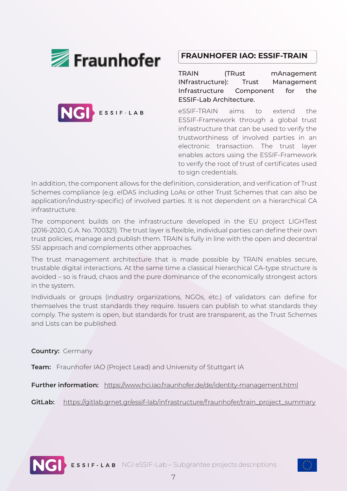



#### **FRAUNHOFER IAO: ESSIF-TRAIN**

TRAIN (TRust mAnagement INfrastructure): Trust Management Infrastructure Component for the ESSIF-Lab Architecture.

eSSIF-TRAIN aims to extend the ESSIF-Framework through a global trust infrastructure that can be used to verify the trustworthiness of involved parties in an electronic transaction. The trust layer enables actors using the ESSIF-Framework to verify the root of trust of certificates used to sign credentials.

In addition, the component allows for the definition, consideration, and verification of Trust Schemes compliance (e.g. eIDAS including LoAs or other Trust Schemes that can also be application/industry-specific) of involved parties. It is not dependent on a hierarchical CA infrastructure.

The component builds on the infrastructure developed in the EU project LIGHTest (2016-2020, G.A. No. 700321). The trust layer is flexible, individual parties can define their own trust policies, manage and publish them. TRAIN is fully in line with the open and decentral SSI approach and complements other approaches.

The trust management architecture that is made possible by TRAIN enables secure, trustable digital interactions. At the same time a classical hierarchical CA-type structure is avoided – so is fraud, chaos and the pure dominance of the economically strongest actors in the system.

Individuals or groups (industry organizations, NGOs, etc.) of validators can define for themselves the trust standards they require. Issuers can publish to what standards they comply. The system is open, but standards for trust are transparent, as the Trust Schemes and Lists can be published.

#### **Country:** Germany

**Team:** Fraunhofer IAO (Project Lead) and University of Stuttgart IA

**Further information:** https://www.hci.iao.fraunhofer.de/de/identity-management.html

**GitLab:** https://gitlab.grnet.gr/essif-lab/infrastructure/fraunhofer/train\_project\_summary



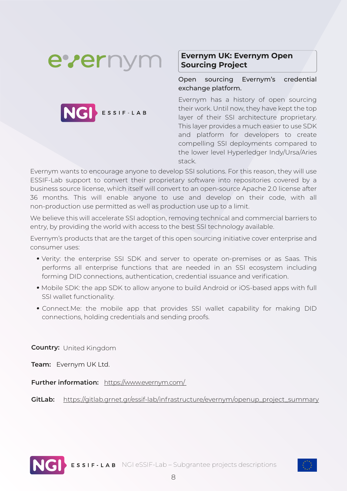



#### **Evernym UK: Evernym Open Sourcing Project**

Open sourcing Evernym's credential exchange platform.

Evernym has a history of open sourcing their work. Until now, they have kept the top layer of their SSI architecture proprietary. This layer provides a much easier to use SDK and platform for developers to create compelling SSI deployments compared to the lower level Hyperledger Indy/Ursa/Aries stack.

Evernym wants to encourage anyone to develop SSI solutions. For this reason, they will use ESSIF-Lab support to convert their proprietary software into repositories covered by a business source license, which itself will convert to an open-source Apache 2.0 license after 36 months. This will enable anyone to use and develop on their code, with all non-production use permitted as well as production use up to a limit.

We believe this will accelerate SSI adoption, removing technical and commercial barriers to entry, by providing the world with access to the best SSI technology available.

Evernym's products that are the target of this open sourcing initiative cover enterprise and consumer uses:

- *·* Verity: the enterprise SSI SDK and server to operate on-premises or as Saas. This performs all enterprise functions that are needed in an SSI ecosystem including forming DID connections, authentication, credential issuance and verification.
- *·* Mobile SDK: the app SDK to allow anyone to build Android or iOS-based apps with full SSI wallet functionality.
- *·* Connect.Me: the mobile app that provides SSI wallet capability for making DID connections, holding credentials and sending proofs.

**Country:** United Kingdom

**Team:** Evernym UK Ltd.

**Further information:** https://www.evernym.com/

GitLab: https://gitlab.grnet.gr/essif-lab/infrastructure/evernym/openup\_project\_summary

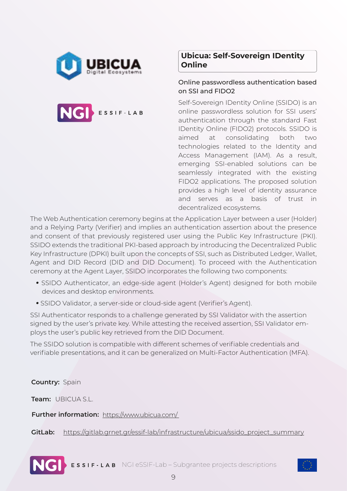



#### **Ubicua: Self-Sovereign IDentity Online**

#### Online passwordless authentication based on SSI and FIDO2

Self-Sovereign IDentity Online (SSIDO) is an online passwordless solution for SSI users' authentication through the standard Fast IDentity Online (FIDO2) protocols. SSIDO is aimed at consolidating both two technologies related to the Identity and Access Management (IAM). As a result, emerging SSI-enabled solutions can be seamlessly integrated with the existing FIDO2 applications. The proposed solution provides a high level of identity assurance and serves as a basis of trust in decentralized ecosystems.

The Web Authentication ceremony begins at the Application Layer between a user (Holder) and a Relying Party (Verifier) and implies an authentication assertion about the presence and consent of that previously registered user using the Public Key Infrastructure (PKI). SSIDO extends the traditional PKI-based approach by introducing the Decentralized Public Key Infrastructure (DPKI) built upon the concepts of SSI, such as Distributed Ledger, Wallet, Agent and DID Record (DID and DID Document). To proceed with the Authentication ceremony at the Agent Layer, SSIDO incorporates the following two components:

- *·* SSIDO Authenticator, an edge-side agent (Holder's Agent) designed for both mobile devices and desktop environments.
- *·* SSIDO Validator, a server-side or cloud-side agent (Verifier's Agent).

SSI Authenticator responds to a challenge generated by SSI Validator with the assertion signed by the user's private key. While attesting the received assertion, SSI Validator employs the user's public key retrieved from the DID Document.

The SSIDO solution is compatible with different schemes of verifiable credentials and verifiable presentations, and it can be generalized on Multi-Factor Authentication (MFA).

**Country:** Spain

**Team:** UBICUA S.L.

**Further information:** https://www.ubicua.com/

**GitLab:** https://gitlab.grnet.gr/essif-lab/infrastructure/ubicua/ssido\_project\_summary

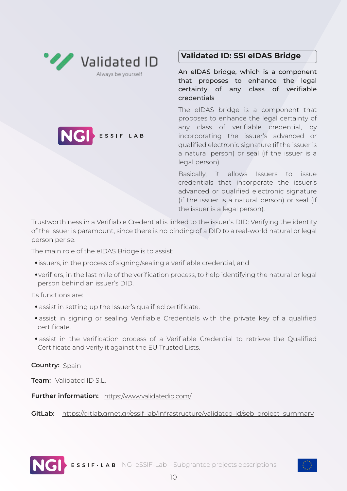

ESSIF-LAB

**NG** 

#### **Validated ID: SSI eIDAS Bridge**

An eIDAS bridge, which is a component that proposes to enhance the legal certainty of any class of verifiable credentials

The eIDAS bridge is a component that proposes to enhance the legal certainty of any class of verifiable credential, by incorporating the issuer's advanced or qualified electronic signature (if the issuer is a natural person) or seal (if the issuer is a legal person).

Basically, it allows Issuers to issue credentials that incorporate the issuer's advanced or qualified electronic signature (if the issuer is a natural person) or seal (if the issuer is a legal person).

Trustworthiness in a Verifiable Credential is linked to the issuer's DID: Verifying the identity of the issuer is paramount, since there is no binding of a DID to a real-world natural or legal person per se.

The main role of the eIDAS Bridge is to assist:

- *·*issuers, in the process of signing/sealing a verifiable credential, and
- *·*verifiers, in the last mile of the verification process, to help identifying the natural or legal person behind an issuer's DID.

Its functions are:

- *·* assist in setting up the Issuer's qualified certificate.
- *·* assist in signing or sealing Verifiable Credentials with the private key of a qualified certificate.
- *·* assist in the verification process of a Verifiable Credential to retrieve the Qualified Certificate and verify it against the EU Trusted Lists.

#### **Country:** Spain

**Team:** Validated ID S.L.

**Further information:** https://www.validatedid.com/

**GitLab:** https://gitlab.grnet.gr/essif-lab/infrastructure/validated-id/seb\_project\_summary

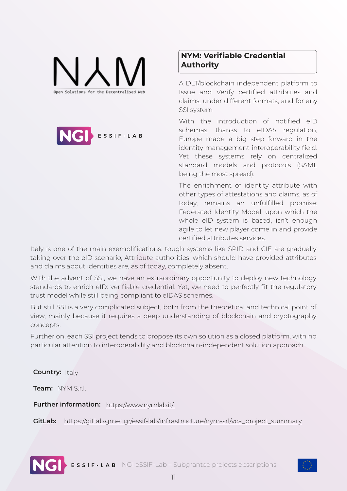



#### **NYM: Verifiable Credential Authority**

A DLT/blockchain independent platform to Issue and Verify certified attributes and claims, under different formats, and for any SSI system

With the introduction of notified eID schemas, thanks to eIDAS regulation, Europe made a big step forward in the identity management interoperability field. Yet these systems rely on centralized standard models and protocols (SAML being the most spread).

The enrichment of identity attribute with other types of attestations and claims, as of today, remains an unfulfilled promise: Federated Identity Model, upon which the whole eID system is based, isn't enough agile to let new player come in and provide certified attributes services.

Italy is one of the main exemplifications: tough systems like SPID and CIE are gradually taking over the eID scenario, Attribute authorities, which should have provided attributes and claims about identities are, as of today, completely absent.

With the advent of SSI, we have an extraordinary opportunity to deploy new technology standards to enrich eID: verifiable credential. Yet, we need to perfectly fit the regulatory trust model while still being compliant to eIDAS schemes.

But still SSI is a very complicated subject, both from the theoretical and technical point of view, mainly because it requires a deep understanding of blockchain and cryptography concepts.

Further on, each SSI project tends to propose its own solution as a closed platform, with no particular attention to interoperability and blockchain-independent solution approach.

**Country:** Italy

**Team:** NYM Srl.

**Further information:** https://www.nymlab.it/

**GitLab:** https://gitlab.grnet.gr/essif-lab/infrastructure/nym-srl/vca\_project\_summary

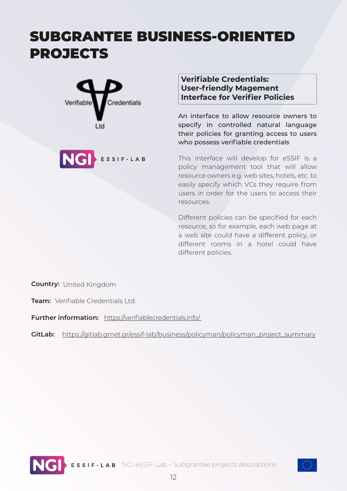### SUBGRANTEE BUSINESS-ORIENTED PROJECTS





**Verifiable Credentials: User-friendly Magement Interface for Verifier Policies**

An interface to allow resource owners to specify in controlled natural language their policies for granting access to users who possess verifiable credentials

This interface will develop for eSSIF is a policy management tool that will allow resource owners e.g. web sites, hotels, etc. to easily specify which VCs they require from users in order for the users to access their resources.

Different policies can be specified for each resource, so for example, each web page at a web site could have a different policy, or different rooms in a hotel could have different policies.

**Country:** United Kingdom

**Team:** Verifiable Credentials Ltd.

**Further information:** https://verifiablecredentials.info/

**GitLab:** https://gitlab.grnet.gr/essif-lab/business/policyman/policyman\_project\_summary

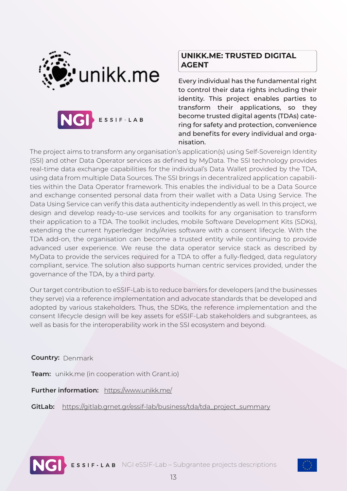



#### **UNIKK.ME: TRUSTED DIGITAL AGENT**

Every individual has the fundamental right to control their data rights including their identity. This project enables parties to transform their applications, so they become trusted digital agents (TDAs) catering for safety and protection, convenience and benefits for every individual and organisation.

The project aims to transform any organisation's application(s) using Self-Sovereign Identity (SSI) and other Data Operator services as defined by MyData. The SSI technology provides real-time data exchange capabilities for the individual's Data Wallet provided by the TDA, using data from multiple Data Sources. The SSI brings in decentralized application capabilities within the Data Operator framework. This enables the individual to be a Data Source and exchange consented personal data from their wallet with a Data Using Service. The Data Using Service can verify this data authenticity independently as well. In this project, we design and develop ready-to-use services and toolkits for any organisation to transform their application to a TDA. The toolkit includes, mobile Software Development Kits (SDKs), extending the current hyperledger Indy/Aries software with a consent lifecycle. With the TDA add-on, the organisation can become a trusted entity while continuing to provide advanced user experience. We reuse the data operator service stack as described by MyData to provide the services required for a TDA to offer a fully-fledged, data regulatory compliant, service. The solution also supports human centric services provided, under the governance of the TDA, by a third party.

Our target contribution to eSSIF-Lab is to reduce barriers for developers (and the businesses they serve) via a reference implementation and advocate standards that be developed and adopted by various stakeholders. Thus, the SDKs, the reference implementation and the consent lifecycle design will be key assets for eSSIF-Lab stakeholders and subgrantees, as well as basis for the interoperability work in the SSI ecosystem and beyond.

#### **Country:** Denmark

**Team:** unikk.me (in cooperation with Grant.io)

**Further information:** https://www.unikk.me/

**GitLab:** https://gitlab.grnet.gr/essif-lab/business/tda/tda\_project\_summary



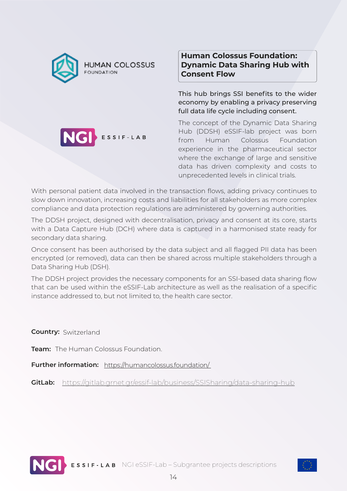

ESSIF-LAB

#### **Human Colossus Foundation: Dynamic Data Sharing Hub with Consent Flow**

This hub brings SSI benefits to the wider economy by enabling a privacy preserving full data life cycle including consent.

The concept of the Dynamic Data Sharing Hub (DDSH) eSSIF-lab project was born from Human Colossus Foundation experience in the pharmaceutical sector where the exchange of large and sensitive data has driven complexity and costs to unprecedented levels in clinical trials.

With personal patient data involved in the transaction flows, adding privacy continues to slow down innovation, increasing costs and liabilities for all stakeholders as more complex compliance and data protection regulations are administered by governing authorities.

The DDSH project, designed with decentralisation, privacy and consent at its core, starts with a Data Capture Hub (DCH) where data is captured in a harmonised state ready for secondary data sharing.

Once consent has been authorised by the data subject and all flagged PII data has been encrypted (or removed), data can then be shared across multiple stakeholders through a Data Sharing Hub (DSH).

The DDSH project provides the necessary components for an SSI-based data sharing flow that can be used within the eSSIF-Lab architecture as well as the realisation of a specific instance addressed to, but not limited to, the health care sector.

**Country:** Switzerland

**Team:** The Human Colossus Foundation.

**Further information:** https://humancolossus.foundation/

**GitLab:** https://gitlab.grnet.gr/essif-lab/business/SSISharing/data-sharing-hub



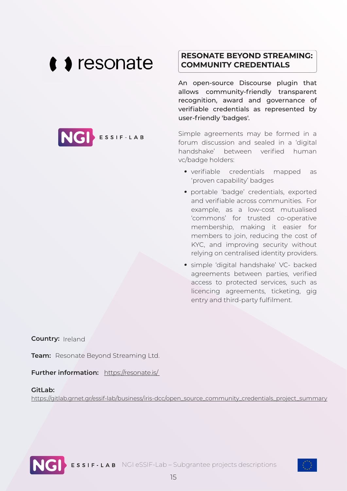## t **f** resonate

ESSIF-LAB

**INGI** 



An open-source Discourse plugin that allows community-friendly transparent recognition, award and governance of verifiable credentials as represented by user-friendly 'badges'.

Simple agreements may be formed in a forum discussion and sealed in a 'digital handshake' between verified human vc/badge holders:

- *·* verifiable credentials mapped as 'proven capability' badges
- *·* portable 'badge' credentials, exported and verifiable across communities. For example, as a low-cost mutualised 'commons' for trusted co-operative membership, making it easier for members to join, reducing the cost of KYC, and improving security without relying on centralised identity providers.
- *·* simple 'digital handshake' VC- backed agreements between parties, verified access to protected services, such as licencing agreements, ticketing, gig entry and third-party fulfilment.

**Country: Ireland** 

**Team:** Resonate Beyond Streaming Ltd.

**Further information:** https://resonate.is/

#### **GitLab:**

https://gitlab.grnet.gr/essif-lab/business/iris-dcc/open\_source\_community\_credentials\_project\_summary

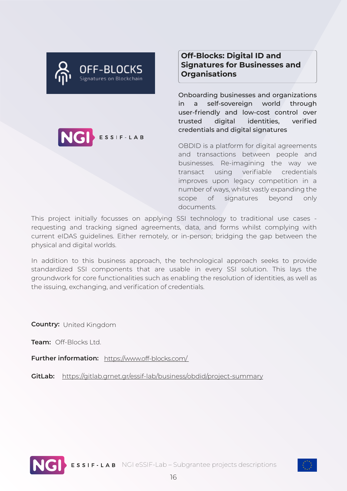



#### **Off-Blocks: Digital ID and Signatures for Businesses and Organisations**

Onboarding businesses and organizations in a self-sovereign world through user-friendly and low-cost control over trusted digital identities, verified credentials and digital signatures

OBDID is a platform for digital agreements and transactions between people and businesses. Re-imagining the way we transact using verifiable credentials improves upon legacy competition in a number of ways, whilst vastly expanding the scope of signatures beyond only documents.

This project initially focusses on applying SSI technology to traditional use cases requesting and tracking signed agreements, data, and forms whilst complying with current eIDAS guidelines. Either remotely, or in-person; bridging the gap between the physical and digital worlds.

In addition to this business approach, the technological approach seeks to provide standardized SSI components that are usable in every SSI solution. This lays the groundwork for core functionalities such as enabling the resolution of identities, as well as the issuing, exchanging, and verification of credentials.

**Country:** United Kingdom

**Team:** Off-Blocks Ltd.

**Further information:** https://www.off-blocks.com/

**GitLab:** https://gitlab.grnet.gr/essif-lab/business/obdid/project-summary



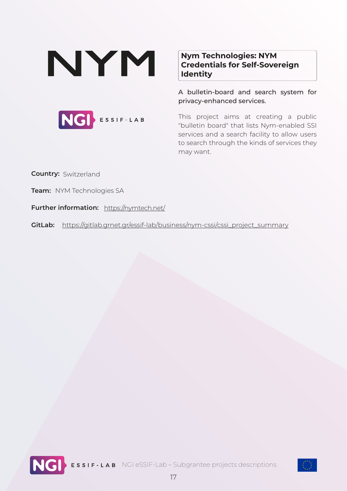# NYM

ESSIF-LAB

#### **Nym Technologies: NYM Credentials for Self-Sovereign Identity**

A bulletin-board and search system for privacy-enhanced services.

This project aims at creating a public "bulletin board" that lists Nym-enabled SSI services and a search facility to allow users to search through the kinds of services they may want.

**Country:** Switzerland

**Team:** NYM Technologies SA

**NGI** 

**Further information:** https://nymtech.net/

**GitLab:** https://gitlab.grnet.gr/essif-lab/business/nym-cssi/cssi\_project\_summary



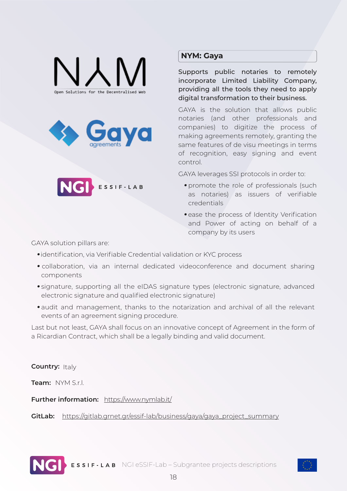





#### **NYM: Gaya**

Supports public notaries to remotely incorporate Limited Liability Company, providing all the tools they need to apply digital transformation to their business.

GAYA is the solution that allows public notaries (and other professionals and companies) to digitize the process of making agreements remotely, granting the same features of de visu meetings in terms of recognition, easy signing and event control.

GAYA leverages SSI protocols in order to:

- *·* promote the role of professionals (such as notaries) as issuers of verifiable credentials
- *·* ease the process of Identity Verification and Power of acting on behalf of a company by its users

GAYA solution pillars are:

- *·*identification, via Verifiable Credential validation or KYC process
- *·* collaboration, via an internal dedicated videoconference and document sharing components
- *·* signature, supporting all the eIDAS signature types (electronic signature, advanced electronic signature and qualified electronic signature)
- *·* audit and management, thanks to the notarization and archival of all the relevant events of an agreement signing procedure.

Last but not least, GAYA shall focus on an innovative concept of Agreement in the form of a Ricardian Contract, which shall be a legally binding and valid document.

#### **Country:** Italy

**Team:** NYM S.r.l.

**Further information:** https://www.nymlab.it/

**GitLab:** https://gitlab.grnet.gr/essif-lab/business/gaya/gaya\_project\_summary

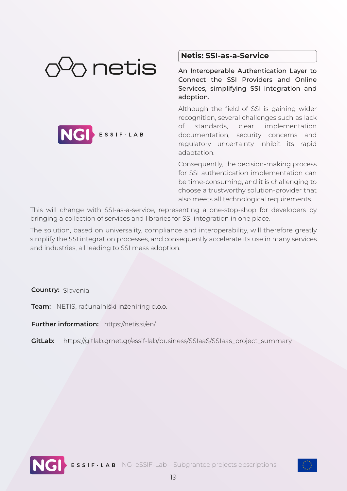



#### **Netis: SSI-as-a-Service**

An Interoperable Authentication Layer to Connect the SSI Providers and Online Services, simplifying SSI integration and adoption.

Although the field of SSI is gaining wider recognition, several challenges such as lack of standards, clear implementation documentation, security concerns and regulatory uncertainty inhibit its rapid adaptation.

Consequently, the decision-making process for SSI authentication implementation can be time-consuming, and it is challenging to choose a trustworthy solution-provider that also meets all technological requirements.

This will change with SSI-as-a-service, representing a one-stop-shop for developers by bringing a collection of services and libraries for SSI integration in one place.

The solution, based on universality, compliance and interoperability, will therefore greatly simplify the SSI integration processes, and consequently accelerate its use in many services and industries, all leading to SSI mass adoption.

**Country:** Slovenia

**Team:** NETIS, raćunalniśki inźeniring d.o.o.

**Further information:** https://netis.si/en/

**GitLab:** https://gitlab.grnet.gr/essif-lab/business/SSIaaS/SSIaas\_project\_summary

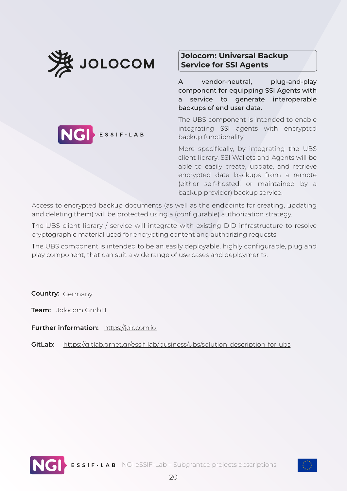

ESSIF-LAB

#### **Jolocom: Universal Backup Service for SSI Agents**

A vendor-neutral, plug-and-play component for equipping SSI Agents with a service to generate interoperable backups of end user data.

The UBS component is intended to enable integrating SSI agents with encrypted backup functionality.

More specifically, by integrating the UBS client library, SSI Wallets and Agents will be able to easily create, update, and retrieve encrypted data backups from a remote (either self-hosted, or maintained by a backup provider) backup service.

Access to encrypted backup documents (as well as the endpoints for creating, updating and deleting them) will be protected using a (configurable) authorization strategy.

The UBS client library / service will integrate with existing DID infrastructure to resolve cryptographic material used for encrypting content and authorizing requests.

The UBS component is intended to be an easily deployable, highly configurable, plug and play component, that can suit a wide range of use cases and deployments.

**Country:** Germany

**Team:** Jolocom GmbH

ING

**Further information:** https://jolocom.io

**GitLab:** https://gitlab.grnet.gr/essif-lab/business/ubs/solution-description-for-ubs

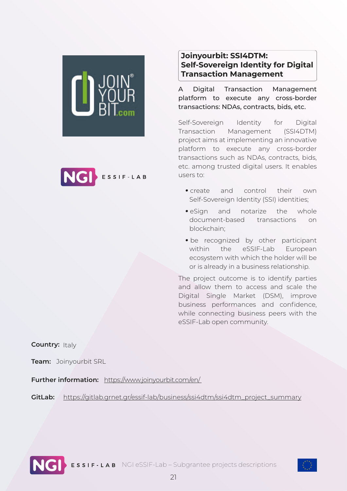



#### **Joinyourbit: SSI4DTM: Self-Sovereign Identity for Digital Transaction Management**

A Digital Transaction Management platform to execute any cross-border transactions: NDAs, contracts, bids, etc.

Self-Sovereign Identity for Digital Transaction Management (SSI4DTM) project aims at implementing an innovative platform to execute any cross-border transactions such as NDAs, contracts, bids, etc. among trusted digital users. It enables users to:

- *·* create and control their own Self-Sovereign Identity (SSI) identities;
- *·* eSign and notarize the whole document-based transactions on blockchain;
- *·* be recognized by other participant within the eSSIF-Lab European ecosystem with which the holder will be or is already in a business relationship.

The project outcome is to identify parties and allow them to access and scale the Digital Single Market (DSM), improve business performances and confidence, while connecting business peers with the eSSIF-Lab open community.

#### **Country:** Italy

**Team:** Joinyourbit SRL

**Further information:** https://www.joinyourbit.com/en/

**GitLab:** https://gitlab.grnet.gr/essif-lab/business/ssi4dtm/ssi4dtm\_project\_summary

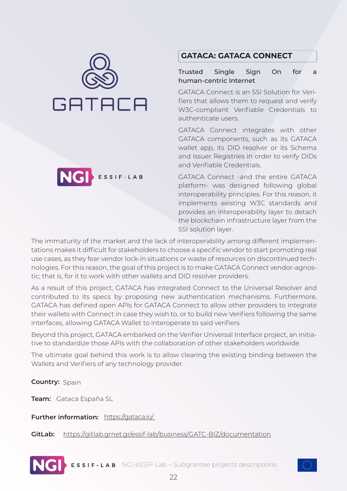



#### **GATACA: GATACA CONNECT**

#### Trusted Single Sign On for a human-centric Internet

GATACA Connect is an SSI Solution for Verifiers that allows them to request and verify W3C-compliant Verifiable Credentials to authenticate users.

GATACA Connect integrates with other GATACA components, such as its GATACA wallet app, its DID resolver or its Schema and Issuer Registries in order to verify DIDs and Verifiable Credentials.

GATACA Connect -and the entire GATACA platform- was designed following global interoperability principles. For this reason, it implements existing W3C standards and provides an interoperability layer to detach the blockchain infrastructure layer from the SSI solution layer.

The immaturity of the market and the lack of interoperability among different implementations makes it difficult for stakeholders to choose a specific vendor to start promoting real use cases, as they fear vendor lock-in situations or waste of resources on discontinued technologies. For this reason, the goal of this project is to make GATACA Connect vendor-agnostic; that is, for it to work with other wallets and DID resolver providers.

As a result of this project, GATACA has integrated Connect to the Universal Resolver and contributed to its specs by proposing new authentication mechanisms. Furthermore, GATACA has defined open APIs for GATACA Connect to allow other providers to integrate their wallets with Connect in case they wish to, or to build new Verifiers following the same interfaces, allowing GATACA Wallet to interoperate to said verifiers.

Beyond this project, GATACA embarked on the Verifier Universal Interface project, an initiative to standardize those APIs with the collaboration of other stakeholders worldwide.

The ultimate goal behind this work is to allow clearing the existing binding between the Wallets and Verifiers of any technology provider.

**Country:** Spain

**Team:** Gataca España SL

**Further information:** https://gataca.io/

**GitLab:** https://gitlab.grnet.gr/essif-lab/business/GATC-BIZ/documentation

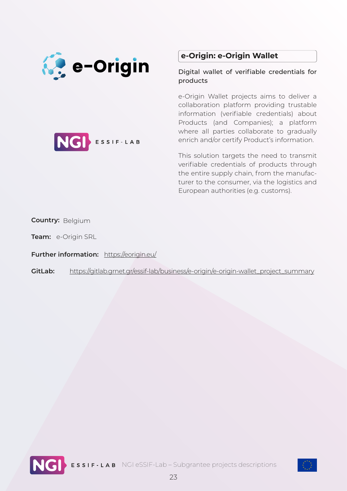

ESSIF-LAB

#### **e-Origin: e-Origin Wallet**

Digital wallet of verifiable credentials for products

e-Origin Wallet projects aims to deliver a collaboration platform providing trustable information (verifiable credentials) about Products (and Companies); a platform where all parties collaborate to gradually enrich and/or certify Product's information.

This solution targets the need to transmit verifiable credentials of products through the entire supply chain, from the manufacturer to the consumer, via the logistics and European authorities (e.g. customs).

**Country:** Belgium

**INGI** 

**Team:** e-Origin SRL

**Further information:** https://eorigin.eu/

**GitLab:** https://gitlab.grnet.gr/essif-lab/business/e-origin/e-origin-wallet\_project\_summary



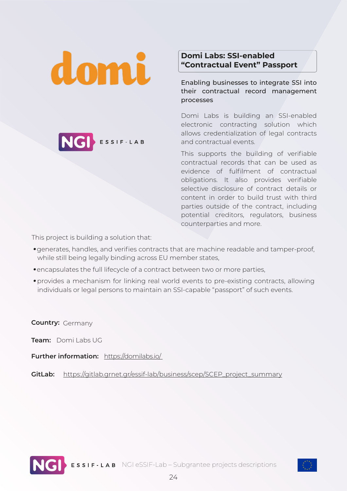

ESSIF-LAB

#### **Domi Labs: SSI-enabled "Contractual Event" Passport**

Enabling businesses to integrate SSI into their contractual record management processes



This supports the building of verifiable contractual records that can be used as evidence of fulfilment of contractual obligations. It also provides verifiable selective disclosure of contract details or content in order to build trust with third parties outside of the contract, including potential creditors, regulators, business counterparties and more.

This project is building a solution that:

- *·*generates, handles, and verifies contracts that are machine readable and tamper-proof, while still being legally binding across EU member states,
- *·*encapsulates the full lifecycle of a contract between two or more parties,
- *·*provides a mechanism for linking real world events to pre-existing contracts, allowing individuals or legal persons to maintain an SSI-capable "passport" of such events.

**Country:** Germany

**Team:** Domi Labs UG

**Further information:** https://domilabs.io/

**GitLab:** https://gitlab.grnet.gr/essif-lab/business/scep/SCEP\_project\_summary



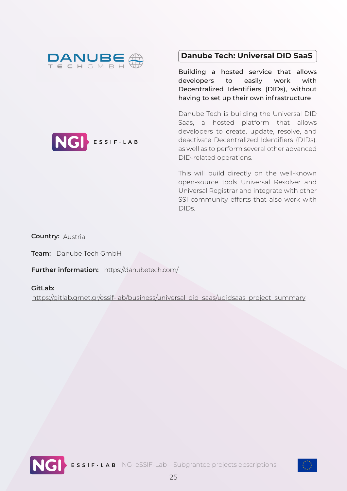

#### **Danube Tech: Universal DID SaaS**

Building a hosted service that allows developers to easily work with Decentralized Identifiers (DIDs), without having to set up their own infrastructure

Danube Tech is building the Universal DID Saas, a hosted platform that allows developers to create, update, resolve, and deactivate Decentralized Identifiers (DIDs), as well as to perform several other advanced DID-related operations.

This will build directly on the well-known open-source tools Universal Resolver and Universal Registrar and integrate with other SSI community efforts that also work with DIDs.

**Country:** Austria

**Team:** Danube Tech GmbH

**Further information:** https://danubetech.com/

#### **GitLab:**

https://gitlab.grnet.gr/essif-lab/business/universal\_did\_saas/udidsaas\_project\_summary







ESSIF-LAB

**INGI**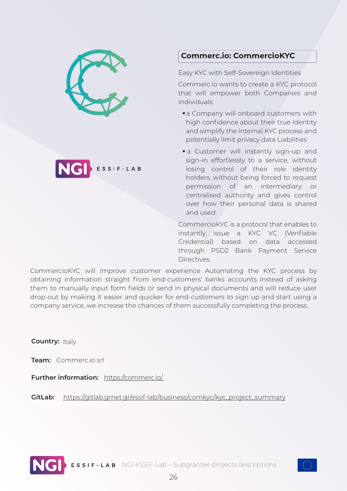



#### **Commerc.io: CommercioKYC**

Easy KYC with Self-Sovereign Identities

Commerc.io wants to create a KYC protocol that will empower both Companies and individuals:

- *·* a Company will onboard customers with high confidence about their true Identity and simplify the internal KYC process and potentially limit privacy data Liabilities
- *·* a Customer will instantly sign-up and sign-in effortlessly to a service, without losing control of their role identity holders, without being forced to request permission of an intermediary or centralised authority and gives control over how their personal data is shared and used.

CommercioKYC is a protocol that enables to instantly Issue a KYC VC (Verifiable Credential) based on data accessed through PSD2 Bank Payment Service Directives.

CommercioKYC will improve customer experience Automating the KYC process by obtaining information straight from end-customers' banks accounts instead of asking them to manually input form fields or send in physical documents and will reduce user drop-out by making it easier and quicker for end-customers to sign up and start using a company service, we increase the chances of them successfully completing the process.

**Country:** Italy

**Team:** Commerc.io srl

**Further information:** https://commerc.io/

**GitLab:** https://gitlab.grnet.gr/essif-lab/business/comkyc/kyc\_project\_summary

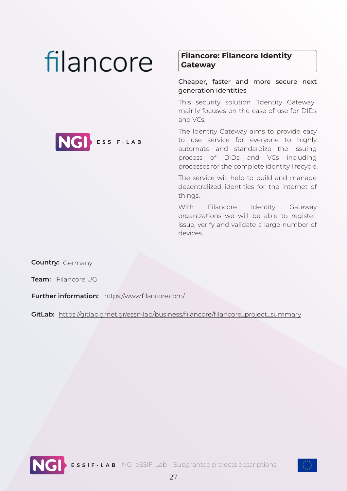# filancore

#### **Filancore: Filancore Identity Gateway**

#### Cheaper, faster and more secure next generation identities

This security solution "Identity Gateway" mainly focuses on the ease of use for DIDs and VCs.

The Identity Gateway aims to provide easy to use service for everyone to highly automate and standardize the issuing process of DIDs and VCs including processes for the complete identity lifecycle.

The service will help to build and manage decentralized identities for the internet of things.

With Filancore Identity Gateway organizations we will be able to register, issue, verify and validate a large number of devices.

**Country:** Germany

**Team:** Filancore UG

**Further information:** https://www.filancore.com/

**GitLab:** https://gitlab.grnet.gr/essif-lab/business/filancore/filancore\_project\_summary





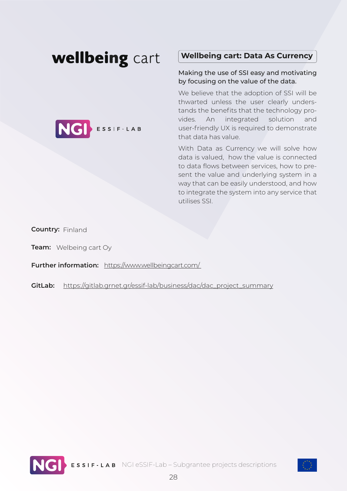### **wellbeing** cart



#### **Wellbeing cart: Data As Currency**

#### Making the use of SSI easy and motivating by focusing on the value of the data.

We believe that the adoption of SSI will be thwarted unless the user clearly understands the benefits that the technology provides. An integrated solution and user-friendly UX is required to demonstrate that data has value.

With Data as Currency we will solve how data is valued, how the value is connected to data flows between services, how to present the value and underlying system in a way that can be easily understood, and how to integrate the system into any service that utilises SSI.

**Country:** Finland

**Team:** Welbeing cart Oy

**Further information:** https://www.wellbeingcart.com/

**GitLab:** https://gitlab.grnet.gr/essif-lab/business/dac/dac\_project\_summary

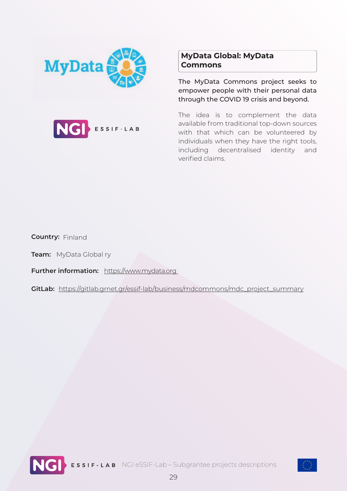

#### **MyData Global: MyData Commons**

The MyData Commons project seeks to empower people with their personal data through the COVID 19 crisis and beyond.



The idea is to complement the data available from traditional top-down sources with that which can be volunteered by individuals when they have the right tools, including decentralised identity and verified claims.

**Country:** Finland

**Team:** MyData Global ry

Further information: https://www.mydata.org

**GitLab:** https://gitlab.grnet.gr/essif-lab/business/mdcommons/mdc\_project\_summary



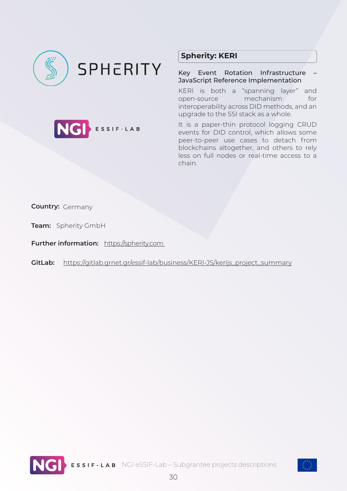

SPHERITY



#### **Spherity: KERI**

Key Event Rotation Infrastructure JavaScript Reference Implementation

KERI is both a "spanning layer" and open-source mechanism for interoperability across DID methods, and an upgrade to the SSI stack as a whole.

It is a paper-thin protocol logging CRUD events for DID control, which allows some peer-to-peer use cases to detach from blockchains altogether, and others to rely less on full nodes or real-time access to a chain.

**Country:** Germany

**Team:** Spherity GmbH

**Further information:** https://spherity.com

**GitLab:** https://gitlab.grnet.gr/essif-lab/business/KERI-JS/kerijs\_project\_summary



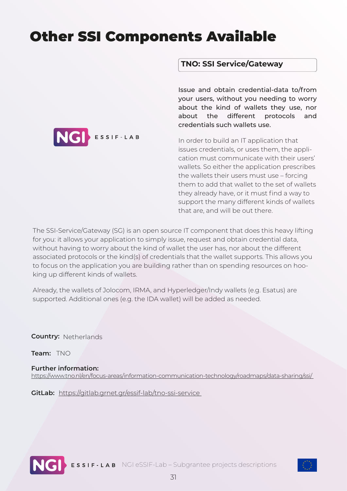### Other SSI Components Available



Issue and obtain credential-data to/from your users, without you needing to worry about the kind of wallets they use, nor about the different protocols and credentials such wallets use.

In order to build an IT application that issues credentials, or uses them, the application must communicate with their users' wallets. So either the application prescribes the wallets their users must use – forcing them to add that wallet to the set of wallets they already have, or it must find a way to support the many different kinds of wallets that are, and will be out there.

The SSI-Service/Gateway (SG) is an open source IT component that does this heavy lifting for you: it allows your application to simply issue, request and obtain credential data, without having to worry about the kind of wallet the user has, nor about the different associated protocols or the kind(s) of credentials that the wallet supports. This allows you to focus on the application you are building rather than on spending resources on hooking up different kinds of wallets.

Already, the wallets of Jolocom, IRMA, and Hyperledger/Indy wallets (e.g. Esatus) are supported. Additional ones (e.g. the IDA wallet) will be added as needed.

**Country:** Netherlands

**Team:** TNO

**Further information:** https://www.tno.nl/en/focus-areas/information-communication-technology/roadmaps/data-sharing/ssi/

**GitLab:** https://gitlab.grnet.gr/essif-lab/tno-ssi-service